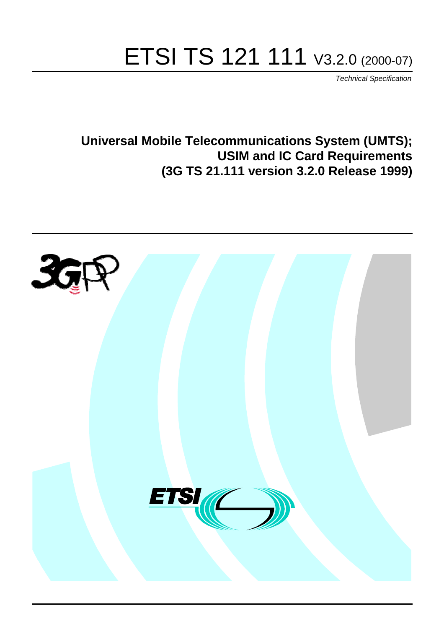# ETSI TS 121 111 V3.2.0 (2000-07)

Technical Specification

**Universal Mobile Telecommunications System (UMTS); USIM and IC Card Requirements (3G TS 21.111 version 3.2.0 Release 1999)**

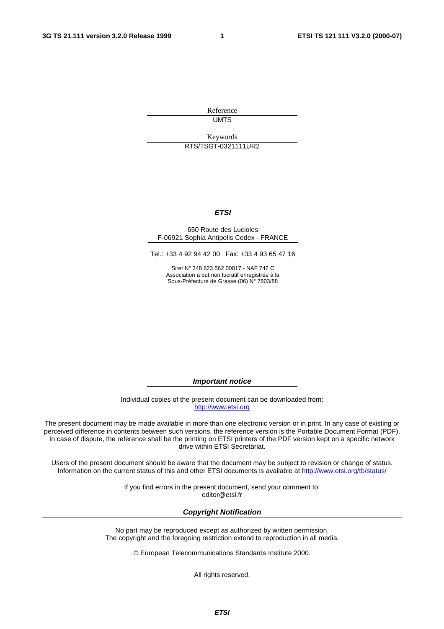**1**

Reference **UMTS** 

Keywords

RTS/TSGT-0321111UR2

#### **ETSI**

#### 650 Route des Lucioles F-06921 Sophia Antipolis Cedex - FRANCE

Tel.: +33 4 92 94 42 00 Fax: +33 4 93 65 47 16

Siret N° 348 623 562 00017 - NAF 742 C Association à but non lucratif enregistrée à la Sous-Préfecture de Grasse (06) N° 7803/88

**Important notice**

Individual copies of the present document can be downloaded from: [http://www.etsi.org](http://www.etsi.org/)

The present document may be made available in more than one electronic version or in print. In any case of existing or perceived difference in contents between such versions, the reference version is the Portable Document Format (PDF). In case of dispute, the reference shall be the printing on ETSI printers of the PDF version kept on a specific network drive within ETSI Secretariat.

Users of the present document should be aware that the document may be subject to revision or change of status. Information on the current status of this and other ETSI documents is available at [http://www.etsi.org/tb/status/](http://www.etsi.org/tb/status)

> If you find errors in the present document, send your comment to: <editor@etsi.fr>

#### **Copyright Notification**

No part may be reproduced except as authorized by written permission. The copyright and the foregoing restriction extend to reproduction in all media.

© European Telecommunications Standards Institute 2000.

All rights reserved.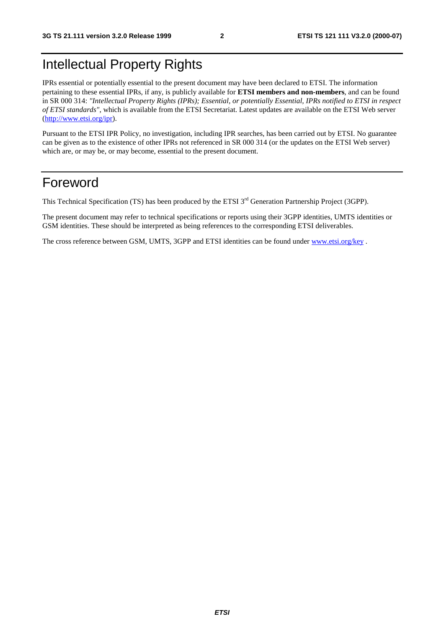## Intellectual Property Rights

IPRs essential or potentially essential to the present document may have been declared to ETSI. The information pertaining to these essential IPRs, if any, is publicly available for **ETSI members and non-members**, and can be found in SR 000 314: *"Intellectual Property Rights (IPRs); Essential, or potentially Essential, IPRs notified to ETSI in respect of ETSI standards"*, which is available from the ETSI Secretariat. Latest updates are available on the ETSI Web server [\(http://www.etsi.org/ipr](http://www.etsi.org/ipr)).

Pursuant to the ETSI IPR Policy, no investigation, including IPR searches, has been carried out by ETSI. No guarantee can be given as to the existence of other IPRs not referenced in SR 000 314 (or the updates on the ETSI Web server) which are, or may be, or may become, essential to the present document.

## Foreword

This Technical Specification (TS) has been produced by the ETSI 3<sup>rd</sup> Generation Partnership Project (3GPP).

The present document may refer to technical specifications or reports using their 3GPP identities, UMTS identities or GSM identities. These should be interpreted as being references to the corresponding ETSI deliverables.

The cross reference between GSM, UMTS, 3GPP and ETSI identities can be found under [www.etsi.org/key](http://www.etsi.org/key) .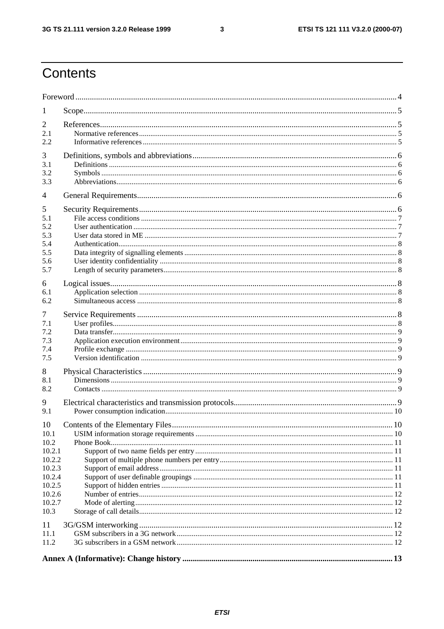# Contents

| 1          |                                  |    |  |  |  |  |
|------------|----------------------------------|----|--|--|--|--|
| 2          |                                  |    |  |  |  |  |
| 2.1        |                                  |    |  |  |  |  |
| 2.2        |                                  |    |  |  |  |  |
| 3          |                                  |    |  |  |  |  |
| 3.1        |                                  |    |  |  |  |  |
| 3.2        |                                  |    |  |  |  |  |
| 3.3        |                                  |    |  |  |  |  |
| 4          |                                  |    |  |  |  |  |
| 5          |                                  |    |  |  |  |  |
| 5.1        |                                  |    |  |  |  |  |
| 5.2        |                                  |    |  |  |  |  |
| 5.3        |                                  |    |  |  |  |  |
| 5.4        |                                  |    |  |  |  |  |
| 5.5        |                                  |    |  |  |  |  |
| 5.6        |                                  |    |  |  |  |  |
| 5.7        |                                  |    |  |  |  |  |
| 6          |                                  |    |  |  |  |  |
| 6.1        |                                  |    |  |  |  |  |
| 6.2        |                                  |    |  |  |  |  |
|            |                                  |    |  |  |  |  |
| 7          |                                  |    |  |  |  |  |
| 7.1<br>7.2 |                                  |    |  |  |  |  |
| 7.3        |                                  |    |  |  |  |  |
| 7.4        |                                  |    |  |  |  |  |
| 7.5        |                                  |    |  |  |  |  |
|            |                                  |    |  |  |  |  |
| 8          |                                  |    |  |  |  |  |
| 8.1        |                                  |    |  |  |  |  |
| 8.2        |                                  |    |  |  |  |  |
| 9          |                                  |    |  |  |  |  |
| 9.1        |                                  |    |  |  |  |  |
| 10         | Contents of the Elementary Files | 10 |  |  |  |  |
| 10.1       |                                  |    |  |  |  |  |
| 10.2       |                                  |    |  |  |  |  |
| 10.2.1     |                                  |    |  |  |  |  |
| 10.2.2     |                                  |    |  |  |  |  |
| 10.2.3     |                                  |    |  |  |  |  |
| 10.2.4     |                                  |    |  |  |  |  |
| 10.2.5     |                                  |    |  |  |  |  |
| 10.2.6     |                                  |    |  |  |  |  |
| 10.2.7     |                                  |    |  |  |  |  |
| 10.3       |                                  |    |  |  |  |  |
| 11         |                                  |    |  |  |  |  |
| 11.1       |                                  |    |  |  |  |  |
| 11.2       |                                  |    |  |  |  |  |
|            |                                  |    |  |  |  |  |
|            |                                  |    |  |  |  |  |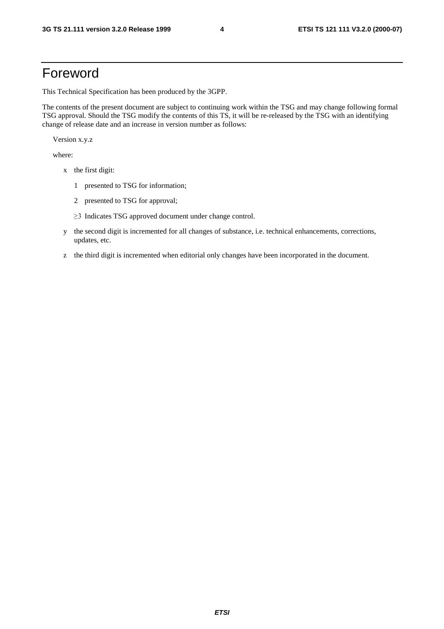## Foreword

This Technical Specification has been produced by the 3GPP.

The contents of the present document are subject to continuing work within the TSG and may change following formal TSG approval. Should the TSG modify the contents of this TS, it will be re-released by the TSG with an identifying change of release date and an increase in version number as follows:

Version x.y.z

where:

- x the first digit:
	- 1 presented to TSG for information;
	- 2 presented to TSG for approval;
	- $\geq$ 3 Indicates TSG approved document under change control.
- y the second digit is incremented for all changes of substance, i.e. technical enhancements, corrections, updates, etc.
- z the third digit is incremented when editorial only changes have been incorporated in the document.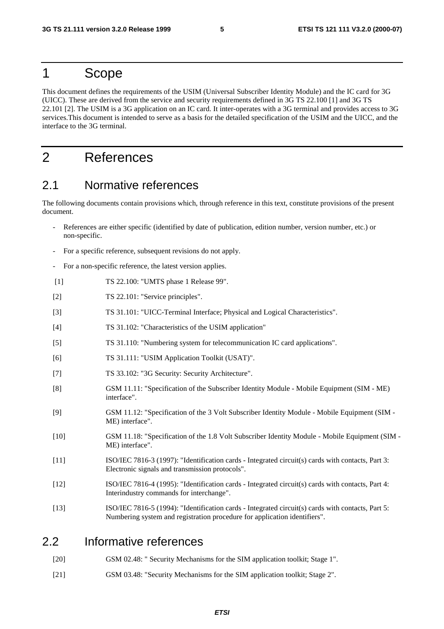#### 1 Scope

This document defines the requirements of the USIM (Universal Subscriber Identity Module) and the IC card for 3G (UICC). These are derived from the service and security requirements defined in 3G TS 22.100 [1] and 3G TS 22.101 [2]. The USIM is a 3G application on an IC card. It inter-operates with a 3G terminal and provides access to 3G services.This document is intended to serve as a basis for the detailed specification of the USIM and the UICC, and the interface to the 3G terminal.

## 2 References

#### 2.1 Normative references

The following documents contain provisions which, through reference in this text, constitute provisions of the present document.

- References are either specific (identified by date of publication, edition number, version number, etc.) or non-specific.
- For a specific reference, subsequent revisions do not apply.
- For a non-specific reference, the latest version applies.
- [1] TS 22.100: "UMTS phase 1 Release 99".
- [2] TS 22.101: "Service principles".
- [3] TS 31.101: "UICC-Terminal Interface; Physical and Logical Characteristics".
- [4] TS 31.102: "Characteristics of the USIM application"
- [5] TS 31.110: "Numbering system for telecommunication IC card applications".
- [6] TS 31.111: "USIM Application Toolkit (USAT)".
- [7] TS 33.102: "3G Security: Security Architecture".
- [8] GSM 11.11: "Specification of the Subscriber Identity Module Mobile Equipment (SIM ME) interface".
- [9] GSM 11.12: "Specification of the 3 Volt Subscriber Identity Module Mobile Equipment (SIM ME) interface".
- [10] GSM 11.18: "Specification of the 1.8 Volt Subscriber Identity Module Mobile Equipment (SIM ME) interface".
- [11] ISO/IEC 7816-3 (1997): "Identification cards Integrated circuit(s) cards with contacts, Part 3: Electronic signals and transmission protocols".
- [12] ISO/IEC 7816-4 (1995): "Identification cards Integrated circuit(s) cards with contacts, Part 4: Interindustry commands for interchange".
- [13] ISO/IEC 7816-5 (1994): "Identification cards Integrated circuit(s) cards with contacts, Part 5: Numbering system and registration procedure for application identifiers".

#### 2.2 Informative references

- [20] GSM 02.48: " Security Mechanisms for the SIM application toolkit; Stage 1".
- [21] GSM 03.48: "Security Mechanisms for the SIM application toolkit; Stage 2".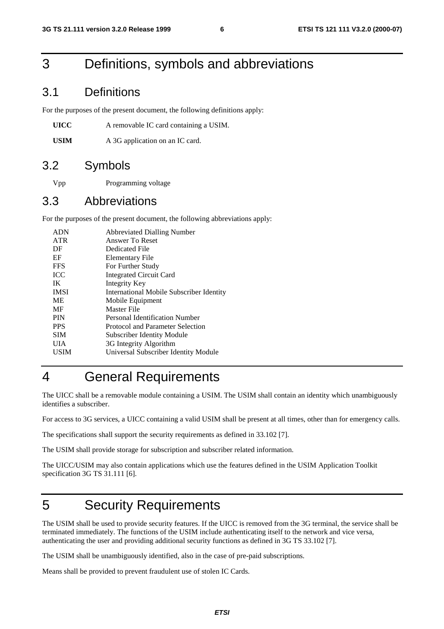## 3 Definitions, symbols and abbreviations

#### 3.1 Definitions

For the purposes of the present document, the following definitions apply:

**UICC** A removable IC card containing a USIM.

USIM A 3G application on an IC card.

#### 3.2 Symbols

Vpp Programming voltage

#### 3.3 Abbreviations

For the purposes of the present document, the following abbreviations apply:

| <b>ADN</b>  | <b>Abbreviated Dialling Number</b>              |
|-------------|-------------------------------------------------|
| <b>ATR</b>  | Answer To Reset                                 |
| DF          | Dedicated File                                  |
| EF          | Elementary File                                 |
| <b>FFS</b>  | For Further Study                               |
| <b>ICC</b>  | <b>Integrated Circuit Card</b>                  |
| IK          | Integrity Key                                   |
| <b>IMSI</b> | <b>International Mobile Subscriber Identity</b> |
| <b>ME</b>   | Mobile Equipment                                |
| MF          | Master File                                     |
| <b>PIN</b>  | Personal Identification Number                  |
| <b>PPS</b>  | Protocol and Parameter Selection                |
| <b>SIM</b>  | Subscriber Identity Module                      |
| UIA         | 3G Integrity Algorithm                          |
| USIM        | Universal Subscriber Identity Module            |
|             |                                                 |

## 4 General Requirements

The UICC shall be a removable module containing a USIM. The USIM shall contain an identity which unambiguously identifies a subscriber.

For access to 3G services, a UICC containing a valid USIM shall be present at all times, other than for emergency calls.

The specifications shall support the security requirements as defined in 33.102 [7].

The USIM shall provide storage for subscription and subscriber related information.

The UICC/USIM may also contain applications which use the features defined in the USIM Application Toolkit specification 3G TS 31.111 [6].

## 5 Security Requirements

The USIM shall be used to provide security features. If the UICC is removed from the 3G terminal, the service shall be terminated immediately. The functions of the USIM include authenticating itself to the network and vice versa, authenticating the user and providing additional security functions as defined in 3G TS 33.102 [7].

The USIM shall be unambiguously identified, also in the case of pre-paid subscriptions.

Means shall be provided to prevent fraudulent use of stolen IC Cards.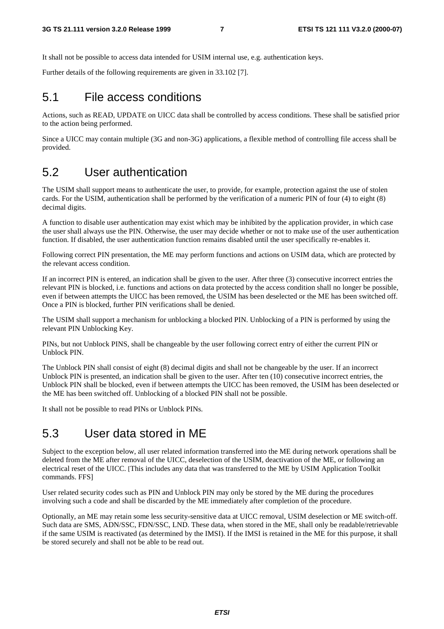It shall not be possible to access data intended for USIM internal use, e.g. authentication keys.

Further details of the following requirements are given in 33.102 [7].

#### 5.1 File access conditions

Actions, such as READ, UPDATE on UICC data shall be controlled by access conditions. These shall be satisfied prior to the action being performed.

Since a UICC may contain multiple (3G and non-3G) applications, a flexible method of controlling file access shall be provided.

#### 5.2 User authentication

The USIM shall support means to authenticate the user, to provide, for example, protection against the use of stolen cards. For the USIM, authentication shall be performed by the verification of a numeric PIN of four (4) to eight (8) decimal digits.

A function to disable user authentication may exist which may be inhibited by the application provider, in which case the user shall always use the PIN. Otherwise, the user may decide whether or not to make use of the user authentication function. If disabled, the user authentication function remains disabled until the user specifically re-enables it.

Following correct PIN presentation, the ME may perform functions and actions on USIM data, which are protected by the relevant access condition.

If an incorrect PIN is entered, an indication shall be given to the user. After three (3) consecutive incorrect entries the relevant PIN is blocked, i.e. functions and actions on data protected by the access condition shall no longer be possible, even if between attempts the UICC has been removed, the USIM has been deselected or the ME has been switched off. Once a PIN is blocked, further PIN verifications shall be denied.

The USIM shall support a mechanism for unblocking a blocked PIN. Unblocking of a PIN is performed by using the relevant PIN Unblocking Key.

PINs, but not Unblock PINS, shall be changeable by the user following correct entry of either the current PIN or Unblock PIN.

The Unblock PIN shall consist of eight (8) decimal digits and shall not be changeable by the user. If an incorrect Unblock PIN is presented, an indication shall be given to the user. After ten (10) consecutive incorrect entries, the Unblock PIN shall be blocked, even if between attempts the UICC has been removed, the USIM has been deselected or the ME has been switched off. Unblocking of a blocked PIN shall not be possible.

It shall not be possible to read PINs or Unblock PINs.

#### 5.3 User data stored in ME

Subject to the exception below, all user related information transferred into the ME during network operations shall be deleted from the ME after removal of the UICC, deselection of the USIM, deactivation of the ME, or following an electrical reset of the UICC. [This includes any data that was transferred to the ME by USIM Application Toolkit commands. FFS]

User related security codes such as PIN and Unblock PIN may only be stored by the ME during the procedures involving such a code and shall be discarded by the ME immediately after completion of the procedure.

Optionally, an ME may retain some less security-sensitive data at UICC removal, USIM deselection or ME switch-off. Such data are SMS, ADN/SSC, FDN/SSC, LND. These data, when stored in the ME, shall only be readable/retrievable if the same USIM is reactivated (as determined by the IMSI). If the IMSI is retained in the ME for this purpose, it shall be stored securely and shall not be able to be read out.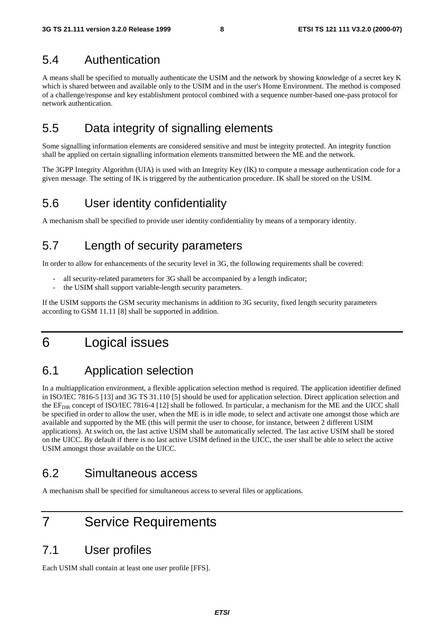#### 5.4 Authentication

A means shall be specified to mutually authenticate the USIM and the network by showing knowledge of a secret key K which is shared between and available only to the USIM and in the user's Home Environment. The method is composed of a challenge/response and key establishment protocol combined with a sequence number-based one-pass protocol for network authentication.

## 5.5 Data integrity of signalling elements

Some signalling information elements are considered sensitive and must be integrity protected. An integrity function shall be applied on certain signalling information elements transmitted between the ME and the network.

The 3GPP Integrity Algorithm (UIA) is used with an Integrity Key (IK) to compute a message authentication code for a given message. The setting of IK is triggered by the authentication procedure. IK shall be stored on the USIM.

## 5.6 User identity confidentiality

A mechanism shall be specified to provide user identity confidentiality by means of a temporary identity.

## 5.7 Length of security parameters

In order to allow for enhancements of the security level in 3G, the following requirements shall be covered:

- all security-related parameters for 3G shall be accompanied by a length indicator;
- the USIM shall support variable-length security parameters.

If the USIM supports the GSM security mechanisms in addition to 3G security, fixed length security parameters according to GSM 11.11 [8] shall be supported in addition.

## 6 Logical issues

## 6.1 Application selection

In a multiapplication environment, a flexible application selection method is required. The application identifier defined in ISO/IEC 7816-5 [13] and 3G TS 31.110 [5] should be used for application selection. Direct application selection and the  $EF_{DIR}$  concept of ISO/IEC 7816-4 [12] shall be followed. In particular, a mechanism for the ME and the UICC shall be specified in order to allow the user, when the ME is in idle mode, to select and activate one amongst those which are available and supported by the ME (this will permit the user to choose, for instance, between 2 different USIM applications). At switch on, the last active USIM shall be automatically selected. The last active USIM shall be stored on the UICC. By default if there is no last active USIM defined in the UICC, the user shall be able to select the active USIM amongst those available on the UICC.

#### 6.2 Simultaneous access

A mechanism shall be specified for simultaneous access to several files or applications.

## 7 Service Requirements

#### 7.1 User profiles

Each USIM shall contain at least one user profile [FFS].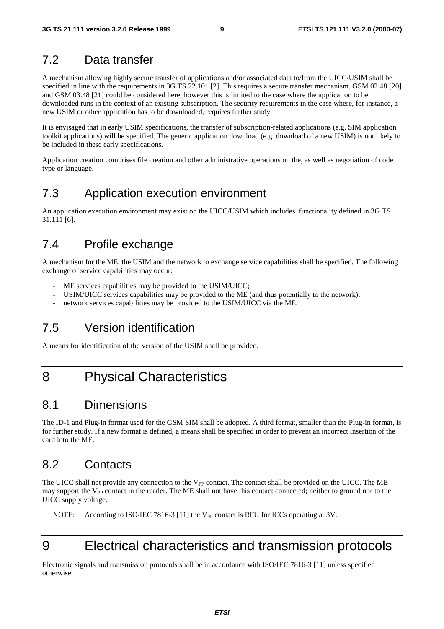#### 7.2 Data transfer

A mechanism allowing highly secure transfer of applications and/or associated data to/from the UICC/USIM shall be specified in line with the requirements in 3G TS 22.101 [2]. This requires a secure transfer mechanism. GSM 02.48 [20] and GSM 03.48 [21] could be considered here, however this is limited to the case where the application to be downloaded runs in the context of an existing subscription. The security requirements in the case where, for instance, a new USIM or other application has to be downloaded, requires further study.

It is envisaged that in early USIM specifications, the transfer of subscription-related applications (e.g. SIM application toolkit applications) will be specified. The generic application download (e.g. download of a new USIM) is not likely to be included in these early specifications.

Application creation comprises file creation and other administrative operations on the, as well as negotiation of code type or language.

## 7.3 Application execution environment

An application execution environment may exist on the UICC/USIM which includes functionality defined in 3G TS 31.111 [6].

#### 7.4 Profile exchange

A mechanism for the ME, the USIM and the network to exchange service capabilities shall be specified. The following exchange of service capabilities may occur:

- ME services capabilities may be provided to the USIM/UICC;
- USIM/UICC services capabilities may be provided to the ME (and thus potentially to the network);
- network services capabilities may be provided to the USIM/UICC via the ME.

## 7.5 Version identification

A means for identification of the version of the USIM shall be provided.

## 8 Physical Characteristics

#### 8.1 Dimensions

The ID-1 and Plug-in format used for the GSM SIM shall be adopted. A third format, smaller than the Plug-in format, is for further study. If a new format is defined, a means shall be specified in order to prevent an incorrect insertion of the card into the ME.

## 8.2 Contacts

The UICC shall not provide any connection to the  $V_{PP}$  contact. The contact shall be provided on the UICC. The ME may support the  $V_{PP}$  contact in the reader. The ME shall not have this contact connected; neither to ground nor to the UICC supply voltage.

NOTE: According to ISO/IEC 7816-3 [11] the  $V_{PP}$  contact is RFU for ICCs operating at 3V.

## 9 Electrical characteristics and transmission protocols

Electronic signals and transmission protocols shall be in accordance with ISO/IEC 7816-3 [11] unless specified otherwise.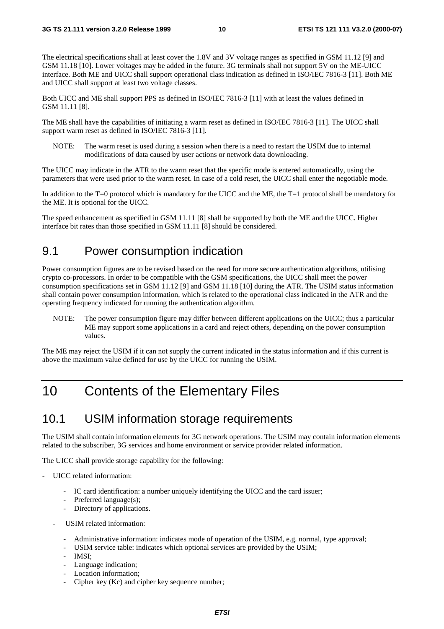The electrical specifications shall at least cover the 1.8V and 3V voltage ranges as specified in GSM 11.12 [9] and GSM 11.18 [10]. Lower voltages may be added in the future. 3G terminals shall not support 5V on the ME-UICC interface. Both ME and UICC shall support operational class indication as defined in ISO/IEC 7816-3 [11]. Both ME and UICC shall support at least two voltage classes.

Both UICC and ME shall support PPS as defined in ISO/IEC 7816-3 [11] with at least the values defined in GSM 11.11 [8].

The ME shall have the capabilities of initiating a warm reset as defined in ISO/IEC 7816-3 [11]. The UICC shall support warm reset as defined in ISO/IEC 7816-3 [11].

NOTE: The warm reset is used during a session when there is a need to restart the USIM due to internal modifications of data caused by user actions or network data downloading.

The UICC may indicate in the ATR to the warm reset that the specific mode is entered automatically, using the parameters that were used prior to the warm reset. In case of a cold reset, the UICC shall enter the negotiable mode.

In addition to the T=0 protocol which is mandatory for the UICC and the ME, the T=1 protocol shall be mandatory for the ME. It is optional for the UICC.

The speed enhancement as specified in GSM 11.11 [8] shall be supported by both the ME and the UICC. Higher interface bit rates than those specified in GSM 11.11 [8] should be considered.

#### 9.1 Power consumption indication

Power consumption figures are to be revised based on the need for more secure authentication algorithms, utilising crypto co-processors. In order to be compatible with the GSM specifications, the UICC shall meet the power consumption specifications set in GSM 11.12 [9] and GSM 11.18 [10] during the ATR. The USIM status information shall contain power consumption information, which is related to the operational class indicated in the ATR and the operating frequency indicated for running the authentication algorithm.

NOTE: The power consumption figure may differ between different applications on the UICC; thus a particular ME may support some applications in a card and reject others, depending on the power consumption values.

The ME may reject the USIM if it can not supply the current indicated in the status information and if this current is above the maximum value defined for use by the UICC for running the USIM.

## 10 Contents of the Elementary Files

#### 10.1 USIM information storage requirements

The USIM shall contain information elements for 3G network operations. The USIM may contain information elements related to the subscriber, 3G services and home environment or service provider related information.

The UICC shall provide storage capability for the following:

- UICC related information:
	- IC card identification: a number uniquely identifying the UICC and the card issuer;
	- Preferred language(s);
	- Directory of applications.
	- USIM related information:
		- Administrative information: indicates mode of operation of the USIM, e.g. normal, type approval;
		- USIM service table: indicates which optional services are provided by the USIM;
		- IMSI:
		- Language indication;
		- Location information;
		- Cipher key (Kc) and cipher key sequence number;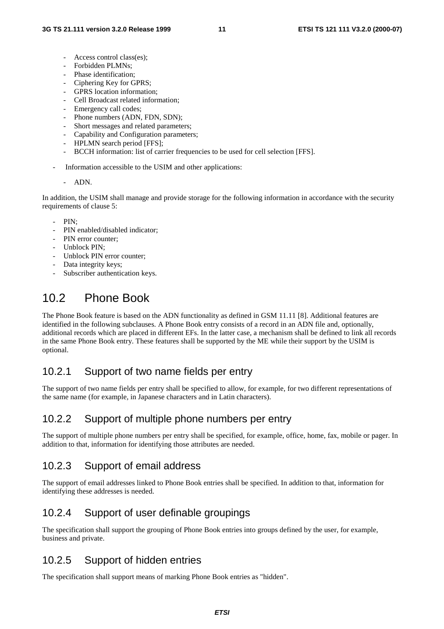- Access control class(es);
- Forbidden PLMNs;
- Phase identification;
- Ciphering Key for GPRS;
- GPRS location information;
- Cell Broadcast related information;
- Emergency call codes;
- Phone numbers (ADN, FDN, SDN);
- Short messages and related parameters;
- Capability and Configuration parameters;
- HPLMN search period [FFS];
- BCCH information: list of carrier frequencies to be used for cell selection [FFS].
- Information accessible to the USIM and other applications:
	- ADN.

In addition, the USIM shall manage and provide storage for the following information in accordance with the security requirements of clause 5:

- PIN:
- PIN enabled/disabled indicator;
- PIN error counter:
- Unblock PIN:
- Unblock PIN error counter:
- Data integrity keys;
- Subscriber authentication keys.

## 10.2 Phone Book

The Phone Book feature is based on the ADN functionality as defined in GSM 11.11 [8]. Additional features are identified in the following subclauses. A Phone Book entry consists of a record in an ADN file and, optionally, additional records which are placed in different EFs. In the latter case, a mechanism shall be defined to link all records in the same Phone Book entry. These features shall be supported by the ME while their support by the USIM is optional.

#### 10.2.1 Support of two name fields per entry

The support of two name fields per entry shall be specified to allow, for example, for two different representations of the same name (for example, in Japanese characters and in Latin characters).

#### 10.2.2 Support of multiple phone numbers per entry

The support of multiple phone numbers per entry shall be specified, for example, office, home, fax, mobile or pager. In addition to that, information for identifying those attributes are needed.

#### 10.2.3 Support of email address

The support of email addresses linked to Phone Book entries shall be specified. In addition to that, information for identifying these addresses is needed.

#### 10.2.4 Support of user definable groupings

The specification shall support the grouping of Phone Book entries into groups defined by the user, for example, business and private.

#### 10.2.5 Support of hidden entries

The specification shall support means of marking Phone Book entries as "hidden".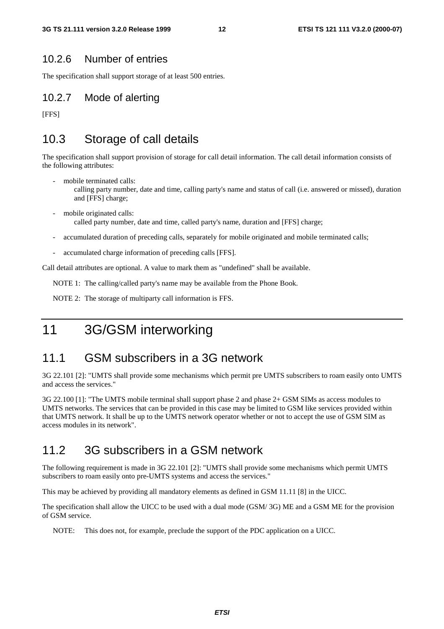#### 10.2.6 Number of entries

The specification shall support storage of at least 500 entries.

#### 10.2.7 Mode of alerting

[FFS]

## 10.3 Storage of call details

The specification shall support provision of storage for call detail information. The call detail information consists of the following attributes:

- mobile terminated calls:
	- calling party number, date and time, calling party's name and status of call (i.e. answered or missed), duration and [FFS] charge;
- mobile originated calls: called party number, date and time, called party's name, duration and [FFS] charge;
- accumulated duration of preceding calls, separately for mobile originated and mobile terminated calls;
- accumulated charge information of preceding calls [FFS].

Call detail attributes are optional. A value to mark them as "undefined" shall be available.

NOTE 1: The calling/called party's name may be available from the Phone Book.

NOTE 2: The storage of multiparty call information is FFS.

11 3G/GSM interworking

## 11.1 GSM subscribers in a 3G network

3G 22.101 [2]: "UMTS shall provide some mechanisms which permit pre UMTS subscribers to roam easily onto UMTS and access the services."

3G 22.100 [1]: "The UMTS mobile terminal shall support phase 2 and phase 2+ GSM SIMs as access modules to UMTS networks. The services that can be provided in this case may be limited to GSM like services provided within that UMTS network. It shall be up to the UMTS network operator whether or not to accept the use of GSM SIM as access modules in its network".

#### 11.2 3G subscribers in a GSM network

The following requirement is made in 3G 22.101 [2]: "UMTS shall provide some mechanisms which permit UMTS subscribers to roam easily onto pre-UMTS systems and access the services."

This may be achieved by providing all mandatory elements as defined in GSM 11.11 [8] in the UICC.

The specification shall allow the UICC to be used with a dual mode (GSM/ 3G) ME and a GSM ME for the provision of GSM service.

NOTE: This does not, for example, preclude the support of the PDC application on a UICC.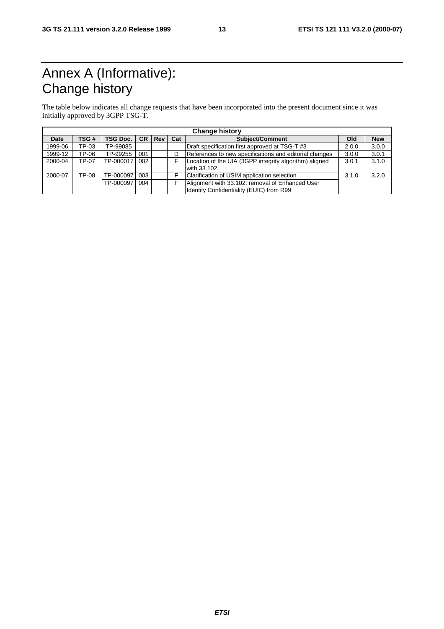## Annex A (Informative): Change history

The table below indicates all change requests that have been incorporated into the present document since it was initially approved by 3GPP TSG-T.

| <b>Change history</b> |       |                 |     |        |     |                                                                                             |       |            |
|-----------------------|-------|-----------------|-----|--------|-----|---------------------------------------------------------------------------------------------|-------|------------|
| Date                  | TSG#  | <b>TSG Doc.</b> |     | CR Rev | Cat | <b>Subiect/Comment</b>                                                                      | Old   | <b>New</b> |
| 1999-06               | TP-03 | TP-99085        |     |        |     | Draft specification first approved at TSG-T #3                                              | 2.0.0 | 3.0.0      |
| 1999-12               | TP-06 | TP-99255        | 001 |        |     | References to new specifications and editorial changes                                      | 3.0.0 | 3.0.1      |
| 2000-04               | TP-07 | TP-000017       | 002 |        |     | Location of the UIA (3GPP integrity algorithm) aligned<br>with 33.102                       | 3.0.1 | 3.1.0      |
| 2000-07               | TP-08 | TP-000097       | 003 |        |     | Clarification of USIM application selection                                                 | 3.1.0 | 3.2.0      |
|                       |       | TP-000097       | 004 |        |     | Alignment with 33.102: removal of Enhanced User<br>Identity Confidentiality (EUIC) from R99 |       |            |